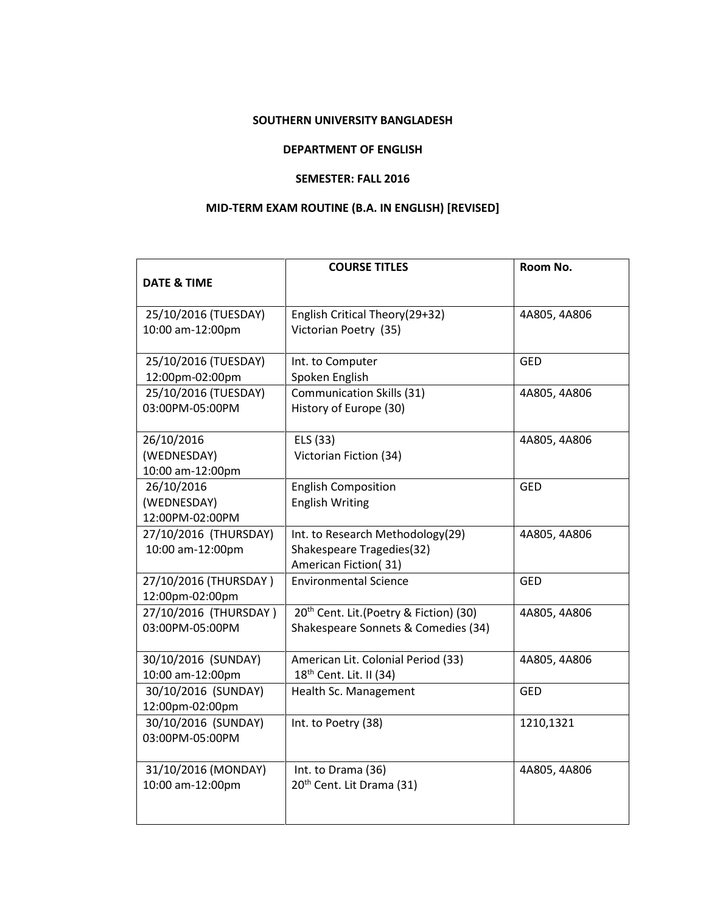## **SOUTHERN UNIVERSITY BANGLADESH**

## **DEPARTMENT OF ENGLISH**

## **SEMESTER: FALL 2016**

## **MID-TERM EXAM ROUTINE (B.A. IN ENGLISH) [REVISED]**

|                        | <b>COURSE TITLES</b>                               | Room No.     |
|------------------------|----------------------------------------------------|--------------|
| <b>DATE &amp; TIME</b> |                                                    |              |
|                        |                                                    |              |
| 25/10/2016 (TUESDAY)   | English Critical Theory(29+32)                     | 4A805, 4A806 |
| 10:00 am-12:00pm       | Victorian Poetry (35)                              |              |
| 25/10/2016 (TUESDAY)   | Int. to Computer                                   | <b>GED</b>   |
| 12:00pm-02:00pm        | Spoken English                                     |              |
| 25/10/2016 (TUESDAY)   | Communication Skills (31)                          | 4A805, 4A806 |
| 03:00PM-05:00PM        | History of Europe (30)                             |              |
| 26/10/2016             | ELS (33)                                           | 4A805, 4A806 |
| (WEDNESDAY)            | Victorian Fiction (34)                             |              |
| 10:00 am-12:00pm       |                                                    |              |
| 26/10/2016             | <b>English Composition</b>                         | <b>GED</b>   |
| (WEDNESDAY)            | <b>English Writing</b>                             |              |
| 12:00PM-02:00PM        |                                                    |              |
| 27/10/2016 (THURSDAY)  | Int. to Research Methodology(29)                   | 4A805, 4A806 |
| 10:00 am-12:00pm       | Shakespeare Tragedies(32)                          |              |
|                        | American Fiction(31)                               |              |
| 27/10/2016 (THURSDAY)  | <b>Environmental Science</b>                       | <b>GED</b>   |
| 12:00pm-02:00pm        |                                                    |              |
| 27/10/2016 (THURSDAY)  | 20 <sup>th</sup> Cent. Lit.(Poetry & Fiction) (30) | 4A805, 4A806 |
| 03:00PM-05:00PM        | Shakespeare Sonnets & Comedies (34)                |              |
| 30/10/2016 (SUNDAY)    | American Lit. Colonial Period (33)                 | 4A805, 4A806 |
| 10:00 am-12:00pm       | 18 <sup>th</sup> Cent. Lit. II (34)                |              |
| 30/10/2016 (SUNDAY)    | Health Sc. Management                              | <b>GED</b>   |
| 12:00pm-02:00pm        |                                                    |              |
| 30/10/2016 (SUNDAY)    | Int. to Poetry (38)                                | 1210,1321    |
| 03:00PM-05:00PM        |                                                    |              |
| 31/10/2016 (MONDAY)    | Int. to Drama (36)                                 | 4A805, 4A806 |
| 10:00 am-12:00pm       | 20 <sup>th</sup> Cent. Lit Drama (31)              |              |
|                        |                                                    |              |
|                        |                                                    |              |